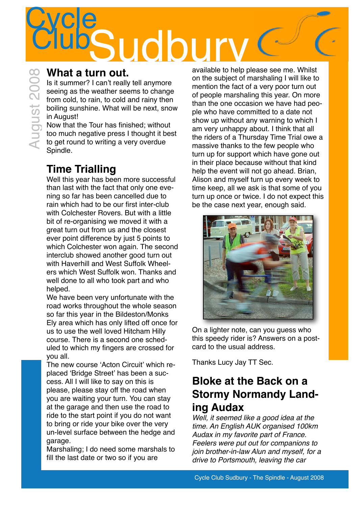## **Cycle** What a turn out.<br>
Is it summer? I can't really tell anymore<br>
seeing as the weather seems to change<br>
from cold, to rain, to cold and rainy then<br>
boiling sunshine. What will be next, snow<br>
in August!<br>
Now that the Tour has f

# August 2008

### **What a turn out.**

Is it summer? I can't really tell anymore seeing as the weather seems to change from cold, to rain, to cold and rainy then boiling sunshine. What will be next, snow in August!

Now that the Tour has finished; without too much negative press I thought it best to get round to writing a very overdue Spindle.

### **Time Trialling**

Well this year has been more successful than last with the fact that only one evening so far has been cancelled due to rain which had to be our first inter-club with Colchester Rovers. But with a little bit of re-organising we moved it with a great turn out from us and the closest ever point difference by just 5 points to which Colchester won again. The second interclub showed another good turn out with Haverhill and West Suffolk Wheelers which West Suffolk won. Thanks and well done to all who took part and who helped.

We have been very unfortunate with the road works throughout the whole season so far this year in the Bildeston/Monks Ely area which has only lifted off once for us to use the well loved Hitcham Hilly course. There is a second one scheduled to which my fingers are crossed for you all.

The new course ʻActon Circuit' which replaced ʻBridge Street' has been a success. All I will like to say on this is please, please stay off the road when you are waiting your turn. You can stay at the garage and then use the road to ride to the start point if you do not want to bring or ride your bike over the very un-level surface between the hedge and garage.

Marshaling; I do need some marshals to fill the last date or two so if you are

available to help please see me. Whilst on the subject of marshaling I will like to mention the fact of a very poor turn out of people marshaling this year. On more than the one occasion we have had people who have committed to a date not show up without any warning to which I am very unhappy about. I think that all the riders of a Thursday Time Trial owe a massive thanks to the few people who turn up for support which have gone out in their place because without that kind help the event will not go ahead. Brian, Alison and myself turn up every week to time keep, all we ask is that some of you turn up once or twice. I do not expect this be the case next year, enough said.



On a lighter note, can you guess who this speedy rider is? Answers on a postcard to the usual address.

Thanks Lucy Jay TT Sec.

### **Bloke at the Back on a Stormy Normandy Landing Audax**

*Well, it seemed like a good idea at the time. An English AUK organised 100km Audax in my favorite part of France. Feelers were put out for companions to join brother-in-law Alun and myself, for a drive to Portsmouth, leaving the car*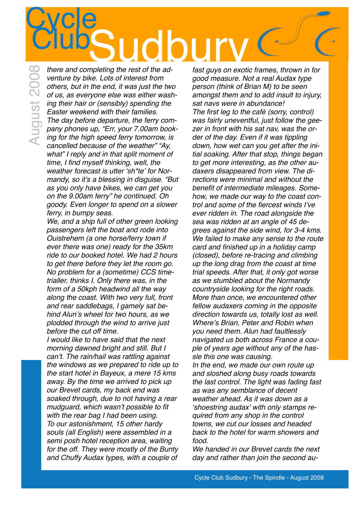### **Cycle**  $\bigcup_{\text{other and completing the rest of the ad-} } \bigcap_{\text{fast curves on exotic}}$

August 2008

*there and completing the rest of the adventure by bike. Lots of interest from others, but in the end, it was just the two of us, as everyone else was either washing their hair or (sensibly) spending the Easter weekend with their families. The day before departure, the ferry company phones up, "Err, your 7.00am booking for the high speed ferry tomorrow, is cancelled because of the weather" "Ay, what" I reply and in that split moment of time, I find myself thinking, well, the weather forecast is utter* ʻ*sh\*te*' *for Normandy, so it*'*s a blessing in disguise. "But as you only have bikes, we can get you on the 9.00am ferry" he continued. Oh goody. Even longer to spend on a slower ferry, in bumpy seas.* 

*We, and a ship full of other green looking passengers left the boat and rode into Ouistrehem (a one horse/ferry town if ever there was one) ready for the 35km ride to our booked hotel. We had 2 hours to get there before they let the room go. No problem for a (sometime) CCS timetrialler, thinks I. Only there was, in the form of a 50kph headwind all the way along the coast. With two very full, front and rear saddlebags, I gamely sat behind Alun*'*s wheel for two hours, as we plodded through the wind to arrive just before the cut off time.* 

*I would like to have said that the next morning dawned bright and still. But I can*'*t. The rain/hail was rattling against the windows as we prepared to ride up to the start hotel in Bayeux, a mere 15 kms away. By the time we arrived to pick up our Brevet cards, my back end was soaked through, due to not having a rear mudguard, which wasn*'*t possible to fit with the rear bag I had been using. To our astonishment, 15 other hardy souls (all English) were assembled in a semi posh hotel reception area, waiting for the off. They were mostly of the Bunty and Chuffy Audax types, with a couple of* 

*fast guys on exotic frames, thrown in for good measure. Not a real Audax type person (think of Brian M) to be seen amongst them and to add insult to injury, sat navs were in abundance! The first leg to the café (sorry, control) was fairly uneventful, just follow the geezer in front with his sat nav, was the order of the day. Even if it was tippling down, how wet can you get after the initial soaking. After that stop, things began to get more interesting, as the other audaxers disappeared from view. The directions were minimal and without the benefit of intermediate mileages. Somehow, we made our way to the coast control and some of the fiercest winds I*'*ve ever ridden in. The road alongside the sea was ridden at an angle of 45 degrees against the side wind, for 3-4 kms. We failed to make any sense to the route card and finished up in a holiday camp (closed), before re-tracing and climbing up the long drag from the coast at time trial speeds. After that, it only got worse as we stumbled about the Normandy countryside looking for the right roads. More than once, we encountered other fellow audaxers coming in the opposite direction towards us, totally lost as well. Where*'*s Brian, Peter and Robin when you need them. Alun had faultlessly navigated us both across France a couple of years age without any of the hassle this one was causing. In the end, we made our own route up and sloshed along busy roads towards* 

*the last control. The light was fading fast as was any semblance of decent weather ahead. As it was down as a*  ʻ*shoestring audax*' *with only stamps required from any shop in the control towns, we cut our losses and headed back to the hotel for warm showers and food.*

*We handed in our Brevet cards the next day and rather than join the second au-*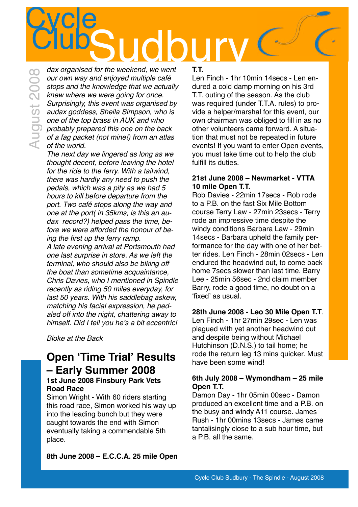**Cycle** ClubSudbury

*dax organised for the weekend, we went our own way and enjoyed multiple café stops and the knowledge that we actually knew where we were going for once. Surprisingly, this event was organised by audax goddess, Sheila Simpson, who is one of the top brass in AUK and who probably prepared this one on the back of a fag packet (not mine!) from an atlas of the world.*  August 2008

> *The next day we lingered as long as we thought decent, before leaving the hotel for the ride to the ferry. With a tailwind, there was hardly any need to push the pedals, which was a pity as we had 5 hours to kill before departure from the port. Two café stops along the way and one at the port( in 35kms, is this an audax record?) helped pass the time, before we were afforded the honour of being the first up the ferry ramp.*

*A late evening arrival at Portsmouth had one last surprise in store. As we left the terminal, who should also be biking off the boat than sometime acquaintance, Chris Davies, who I mentioned in Spindle recently as riding 50 miles everyday, for last 50 years. With his saddlebag askew, matching his facial expression, he pedaled off into the night, chattering away to himself. Did I tell you he*'*s a bit eccentric!*

*Bloke at the Back*

### **Open ʻTime Trial' Results – Early Summer 2008 1st June 2008 Finsbury Park Vets**

#### **Road Race** Simon Wright - With 60 riders starting this road race, Simon worked his way up

into the leading bunch but they were caught towards the end with Simon eventually taking a commendable 5th place.

**8th June 2008 – E.C.C.A. 25 mile Open** 

### **T.T.**

Len Finch - 1hr 10min 14secs - Len endured a cold damp morning on his 3rd T.T. outing of the season. As the club was required (under T.T.A. rules) to provide a helper/marshal for this event, our own chairman was obliged to fill in as no other volunteers came forward. A situation that must not be repeated in future events! If you want to enter Open events, you must take time out to help the club fulfill its duties.

### **21st June 2008 – Newmarket - VTTA 10 mile Open T.T.**

Rob Davies - 22min 17secs - Rob rode to a P.B. on the fast Six Mile Bottom course Terry Law - 27min 23secs - Terry rode an impressive time despite the windy conditions Barbara Law - 29min 14secs - Barbara upheld the family performance for the day with one of her better rides. Len Finch - 28min 02secs - Len endured the headwind out, to come back home 7secs slower than last time. Barry Lee - 25min 56sec - 2nd claim member Barry, rode a good time, no doubt on a ʻfixed' as usual.

### **28th June 2008 - Leo 30 Mile Open T.T**.

Len Finch - 1hr 27min 29sec - Len was plagued with yet another headwind out and despite being without Michael Hutchinson (D.N.S.) to tail home; he rode the return leg 13 mins quicker. Must have been some wind!

#### **6th July 2008 – Wymondham – 25 mile Open T.T.**

Damon Day - 1hr 05min 00sec - Damon produced an excellent time and a P.B. on the busy and windy A11 course. James Rush - 1hr 00mins 13secs - James came tantalisingly close to a sub hour time, but a P.B. all the same.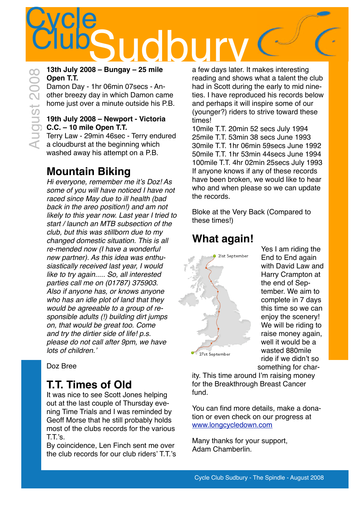## **Cycle**  $\bigcup_{\text{S}}\bigcup_{\text{13th}, \text{July 2008 - Bungay - 25 mile}}\bigcap_{\text{a few days later}}$ August 2008

### **13th July 2008 – Bungay – 25 mile Open T.T.**

Damon Day - 1hr 06min 07secs - Another breezy day in which Damon came home just over a minute outside his P.B.

### **19th July 2008 – Newport - Victoria C.C. – 10 mile Open T.T.**

Terry Law - 29min 46sec - Terry endured a cloudburst at the beginning which washed away his attempt on a P.B.

### **Mountain Biking**

*Hi everyone, remember me it*'*s Doz! As some of you will have noticed I have not raced since May due to ill health (bad back in the areo position!) and am not likely to this year now. Last year I tried to start / launch an MTB subsection of the club, but this was stillborn due to my changed domestic situation. This is all re-mended now (I have a wonderful new partner). As this idea was enthusiastically received last year, I would like to try again..... So, all interested parties call me on (01787) 375903. Also if anyone has, or knows anyone who has an idle plot of land that they would be agreeable to a group of responsible adults (!) building dirt jumps on, that would be great too. Come and try the dirtier side of life! p.s. please do not call after 9pm, we have lots of children.*'

Doz Bree

### **T.T. Times of Old**

It was nice to see Scott Jones helping out at the last couple of Thursday evening Time Trials and I was reminded by Geoff Morse that he still probably holds most of the clubs records for the various T.T.'s.

By coincidence, Len Finch sent me over the club records for our club riders' T.T.'s a few days later. It makes interesting reading and shows what a talent the club had in Scott during the early to mid nineties. I have reproduced his records below and perhaps it will inspire some of our (younger?) riders to strive toward these times!

10mile T.T. 20min 52 secs July 1994 25mile T.T. 53min 38 secs June 1993 30mile T.T. 1hr 06min 59secs June 1992 50mile T.T. 1hr 53min 44secs June 1994 100mile T.T. 4hr 02min 25secs July 1993 If anyone knows if any of these records have been broken, we would like to hear who and when please so we can update the records.

Bloke at the Very Back (Compared to these times!)

### **What again!**



Yes I am riding the End to End again with David Law and Harry Crampton at the end of September. We aim to complete in 7 days this time so we can enjoy the scenery! We will be riding to raise money again, well it would be a wasted 880mile ride if we didn't so something for char-

ity. This time around I'm raising money for the Breakthrough Breast Cancer fund.

You can find more details, make a donation or even check on our progress at [www.longcycledown.com](http://www.longcycledown.com)

Many thanks for your support, Adam Chamberlin.